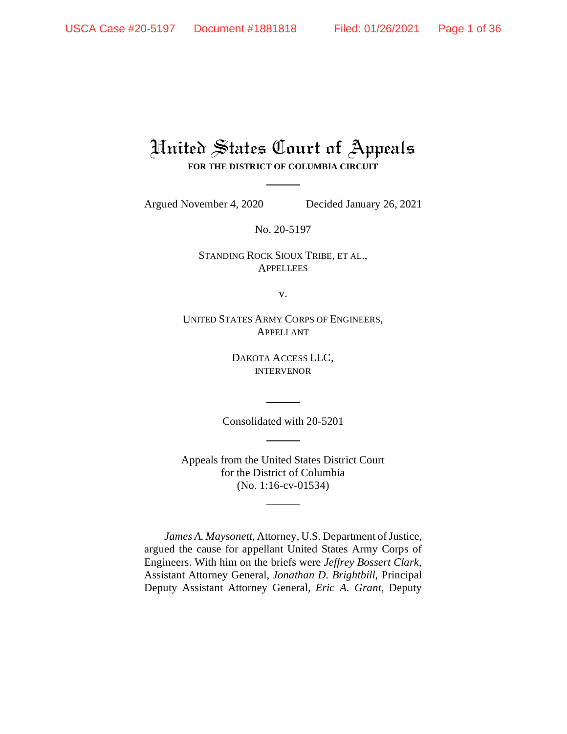# United States Court of Appeals **FOR THE DISTRICT OF COLUMBIA CIRCUIT**

Argued November 4, 2020 Decided January 26, 2021

No. 20-5197

STANDING ROCK SIOUX TRIBE, ET AL., **APPELLEES** 

v.

UNITED STATES ARMY CORPS OF ENGINEERS, APPELLANT

> DAKOTA ACCESS LLC, INTERVENOR

Consolidated with 20-5201

Appeals from the United States District Court for the District of Columbia (No. 1:16-cv-01534)

*James A. Maysonett*, Attorney, U.S. Department of Justice, argued the cause for appellant United States Army Corps of Engineers. With him on the briefs were *Jeffrey Bossert Clark*, Assistant Attorney General, *Jonathan D. Brightbill*, Principal Deputy Assistant Attorney General, *Eric A. Grant*, Deputy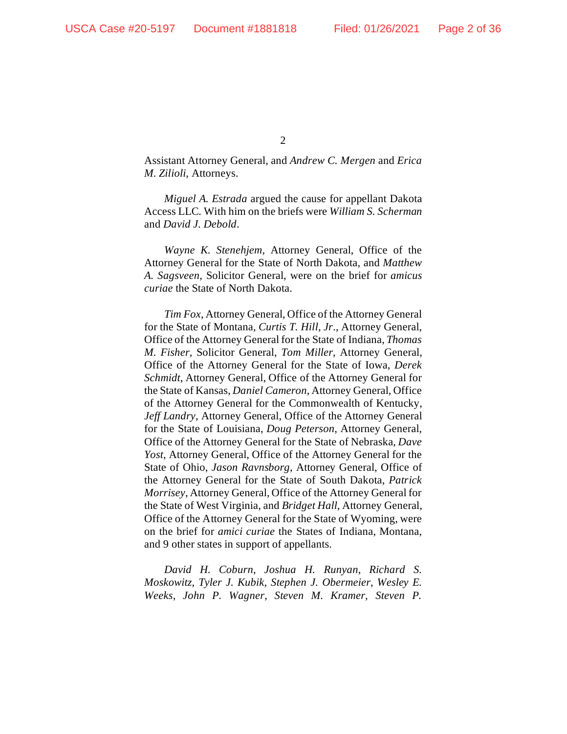$\mathcal{D}_{\mathcal{L}}$ 

Assistant Attorney General, and *Andrew C. Mergen* and *Erica M. Zilioli*, Attorneys.

*Miguel A. Estrada* argued the cause for appellant Dakota Access LLC*.* With him on the briefs were *William S. Scherman* and *David J. Debold*.

*Wayne K. Stenehjem*, Attorney General, Office of the Attorney General for the State of North Dakota, and *Matthew A. Sagsveen*, Solicitor General, were on the brief for *amicus curiae* the State of North Dakota.

*Tim Fox*, Attorney General, Office of the Attorney General for the State of Montana, *Curtis T. Hill, Jr.*, Attorney General, Office of the Attorney General for the State of Indiana, *Thomas M. Fisher*, Solicitor General, *Tom Miller*, Attorney General, Office of the Attorney General for the State of Iowa, *Derek Schmidt*, Attorney General, Office of the Attorney General for the State of Kansas, *Daniel Cameron*, Attorney General, Office of the Attorney General for the Commonwealth of Kentucky, *Jeff Landry*, Attorney General, Office of the Attorney General for the State of Louisiana, *Doug Peterson*, Attorney General, Office of the Attorney General for the State of Nebraska, *Dave Yost*, Attorney General, Office of the Attorney General for the State of Ohio, *Jason Ravnsborg*, Attorney General, Office of the Attorney General for the State of South Dakota, *Patrick Morrisey*, Attorney General, Office of the Attorney General for the State of West Virginia, and *Bridget Hall*, Attorney General, Office of the Attorney General for the State of Wyoming, were on the brief for *amici curiae* the States of Indiana, Montana, and 9 other states in support of appellants.

*David H. Coburn*, *Joshua H. Runyan*, *Richard S. Moskowitz*, *Tyler J. Kubik*, *Stephen J. Obermeier*, *Wesley E. Weeks*, *John P. Wagner*, *Steven M. Kramer*, *Steven P.*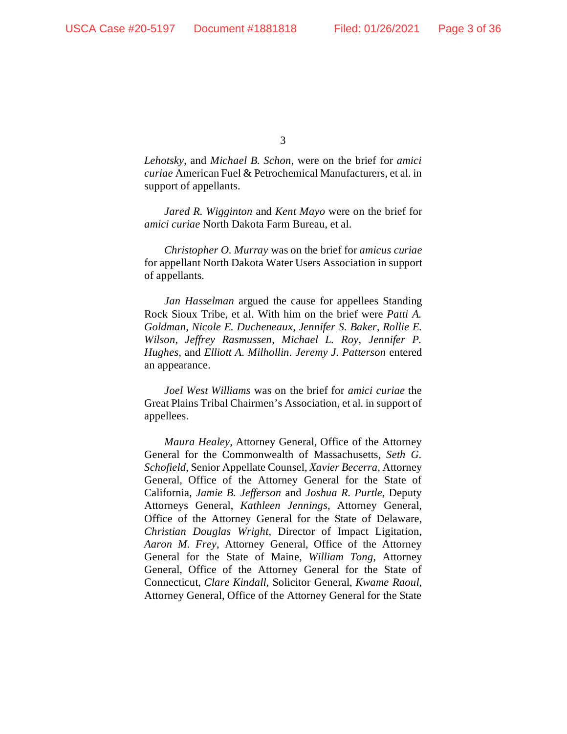*Lehotsky*, and *Michael B. Schon*, were on the brief for *amici curiae* American Fuel & Petrochemical Manufacturers, et al. in support of appellants.

*Jared R. Wigginton* and *Kent Mayo* were on the brief for *amici curiae* North Dakota Farm Bureau, et al.

*Christopher O. Murray* was on the brief for *amicus curiae*  for appellant North Dakota Water Users Association in support of appellants.

*Jan Hasselman* argued the cause for appellees Standing Rock Sioux Tribe, et al. With him on the brief were *Patti A. Goldman*, *Nicole E. Ducheneaux*, *Jennifer S. Baker*, *Rollie E. Wilson*, *Jeffrey Rasmussen*, *Michael L. Roy*, *Jennifer P. Hughes*, and *Elliott A. Milhollin*. *Jeremy J. Patterson* entered an appearance.

*Joel West Williams* was on the brief for *amici curiae* the Great Plains Tribal Chairmen's Association, et al. in support of appellees.

*Maura Healey*, Attorney General, Office of the Attorney General for the Commonwealth of Massachusetts, *Seth G. Schofield*, Senior Appellate Counsel, *Xavier Becerra*, Attorney General, Office of the Attorney General for the State of California, *Jamie B. Jefferson* and *Joshua R. Purtle*, Deputy Attorneys General, *Kathleen Jennings*, Attorney General, Office of the Attorney General for the State of Delaware, *Christian Douglas Wright*, Director of Impact Ligitation, *Aaron M. Frey*, Attorney General, Office of the Attorney General for the State of Maine, *William Tong*, Attorney General, Office of the Attorney General for the State of Connecticut, *Clare Kindall*, Solicitor General, *Kwame Raoul*, Attorney General, Office of the Attorney General for the State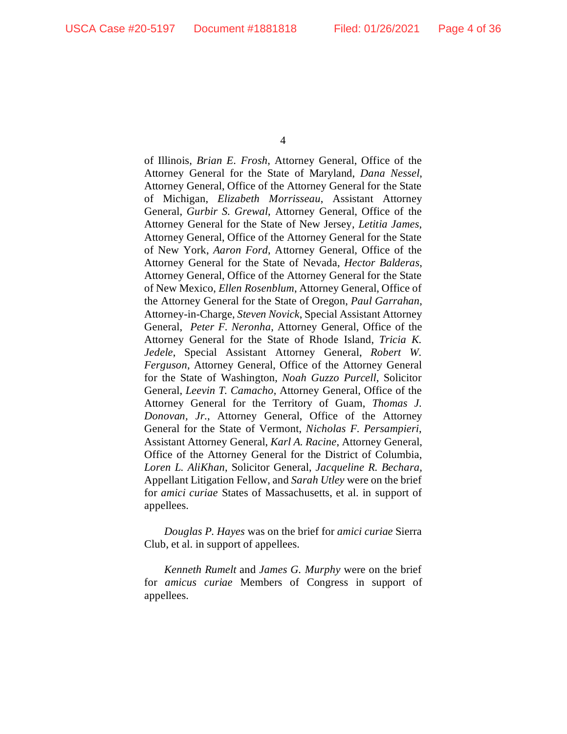of Illinois, *Brian E. Frosh*, Attorney General, Office of the Attorney General for the State of Maryland, *Dana Nessel*, Attorney General, Office of the Attorney General for the State of Michigan, *Elizabeth Morrisseau*, Assistant Attorney General, *Gurbir S. Grewal*, Attorney General, Office of the Attorney General for the State of New Jersey, *Letitia James*, Attorney General, Office of the Attorney General for the State of New York, *Aaron Ford*, Attorney General, Office of the Attorney General for the State of Nevada, *Hector Balderas*, Attorney General, Office of the Attorney General for the State of New Mexico, *Ellen Rosenblum*, Attorney General, Office of the Attorney General for the State of Oregon, *Paul Garrahan*, Attorney-in-Charge, *Steven Novick*, Special Assistant Attorney General, *Peter F. Neronha*, Attorney General, Office of the Attorney General for the State of Rhode Island, *Tricia K. Jedele*, Special Assistant Attorney General, *Robert W. Ferguson*, Attorney General, Office of the Attorney General for the State of Washington, *Noah Guzzo Purcell*, Solicitor General, *Leevin T. Camacho*, Attorney General, Office of the Attorney General for the Territory of Guam, *Thomas J. Donovan, Jr.*, Attorney General, Office of the Attorney General for the State of Vermont, *Nicholas F. Persampieri*, Assistant Attorney General, *Karl A. Racine*, Attorney General, Office of the Attorney General for the District of Columbia, *Loren L. AliKhan*, Solicitor General, *Jacqueline R. Bechara*, Appellant Litigation Fellow, and *Sarah Utley* were on the brief for *amici curiae* States of Massachusetts, et al. in support of appellees.

*Douglas P. Hayes* was on the brief for *amici curiae* Sierra Club, et al. in support of appellees.

*Kenneth Rumelt* and *James G. Murphy* were on the brief for *amicus curiae* Members of Congress in support of appellees.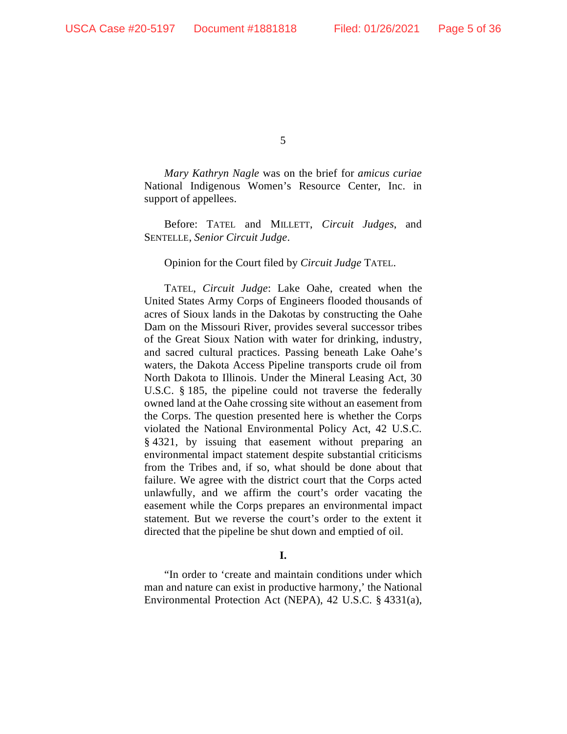*Mary Kathryn Nagle* was on the brief for *amicus curiae*  National Indigenous Women's Resource Center, Inc. in support of appellees.

Before: TATEL and MILLETT, *Circuit Judges*, and SENTELLE, *Senior Circuit Judge*.

### Opinion for the Court filed by *Circuit Judge* TATEL.

TATEL, *Circuit Judge*: Lake Oahe, created when the United States Army Corps of Engineers flooded thousands of acres of Sioux lands in the Dakotas by constructing the Oahe Dam on the Missouri River, provides several successor tribes of the Great Sioux Nation with water for drinking, industry, and sacred cultural practices. Passing beneath Lake Oahe's waters, the Dakota Access Pipeline transports crude oil from North Dakota to Illinois. Under the Mineral Leasing Act, 30 U.S.C. § 185, the pipeline could not traverse the federally owned land at the Oahe crossing site without an easement from the Corps. The question presented here is whether the Corps violated the National Environmental Policy Act, 42 U.S.C. § 4321, by issuing that easement without preparing an environmental impact statement despite substantial criticisms from the Tribes and, if so, what should be done about that failure. We agree with the district court that the Corps acted unlawfully, and we affirm the court's order vacating the easement while the Corps prepares an environmental impact statement. But we reverse the court's order to the extent it directed that the pipeline be shut down and emptied of oil.

### **I.**

"In order to 'create and maintain conditions under which man and nature can exist in productive harmony,' the National Environmental Protection Act (NEPA), 42 U.S.C. § 4331(a),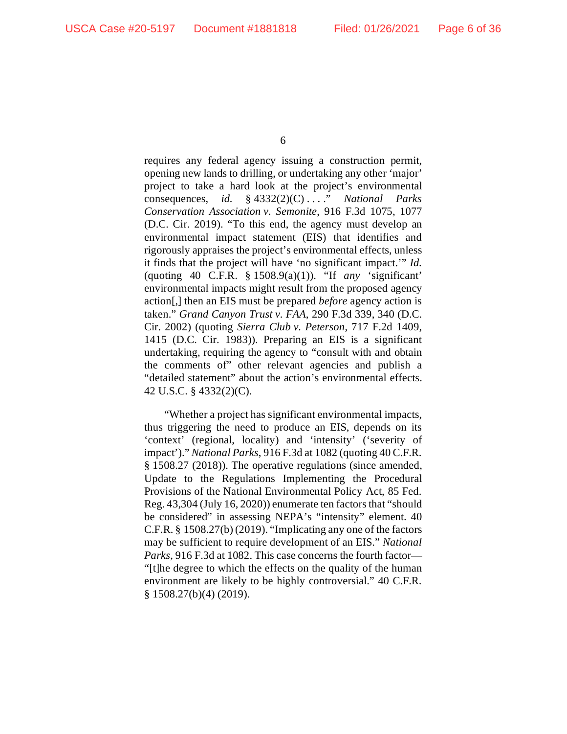requires any federal agency issuing a construction permit, opening new lands to drilling, or undertaking any other 'major' project to take a hard look at the project's environmental consequences, *id.* § 4332(2)(C) . . . ." *National Parks Conservation Association v. Semonite*, 916 F.3d 1075, 1077 (D.C. Cir. 2019). "To this end, the agency must develop an environmental impact statement (EIS) that identifies and rigorously appraises the project's environmental effects, unless it finds that the project will have 'no significant impact.'" *Id.* (quoting 40 C.F.R. § 1508.9(a)(1)). "If *any* 'significant' environmental impacts might result from the proposed agency action[,] then an EIS must be prepared *before* agency action is taken." *Grand Canyon Trust v. FAA*, 290 F.3d 339, 340 (D.C. Cir. 2002) (quoting *Sierra Club v. Peterson*, 717 F.2d 1409, 1415 (D.C. Cir. 1983)). Preparing an EIS is a significant undertaking, requiring the agency to "consult with and obtain the comments of" other relevant agencies and publish a "detailed statement" about the action's environmental effects. 42 U.S.C. § 4332(2)(C).

"Whether a project has significant environmental impacts, thus triggering the need to produce an EIS, depends on its 'context' (regional, locality) and 'intensity' ('severity of impact')." *National Parks*, 916 F.3d at 1082 (quoting 40 C.F.R. § 1508.27 (2018)). The operative regulations (since amended, Update to the Regulations Implementing the Procedural Provisions of the National Environmental Policy Act, 85 Fed. Reg. 43,304 (July 16, 2020)) enumerate ten factors that "should be considered" in assessing NEPA's "intensity" element. 40 C.F.R. § 1508.27(b) (2019). "Implicating any one of the factors may be sufficient to require development of an EIS." *National Parks*, 916 F.3d at 1082. This case concerns the fourth factor— "[t]he degree to which the effects on the quality of the human environment are likely to be highly controversial." 40 C.F.R. § 1508.27(b)(4) (2019).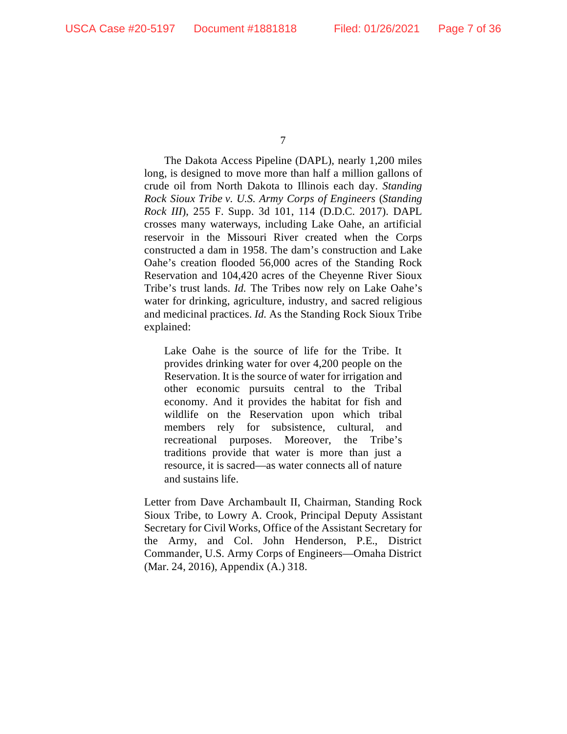The Dakota Access Pipeline (DAPL), nearly 1,200 miles long, is designed to move more than half a million gallons of crude oil from North Dakota to Illinois each day. *Standing Rock Sioux Tribe v. U.S. Army Corps of Engineers* (*Standing Rock III*), 255 F. Supp. 3d 101, 114 (D.D.C. 2017). DAPL crosses many waterways, including Lake Oahe, an artificial reservoir in the Missouri River created when the Corps constructed a dam in 1958. The dam's construction and Lake Oahe's creation flooded 56,000 acres of the Standing Rock Reservation and 104,420 acres of the Cheyenne River Sioux Tribe's trust lands. *Id.* The Tribes now rely on Lake Oahe's water for drinking, agriculture, industry, and sacred religious and medicinal practices. *Id.* As the Standing Rock Sioux Tribe explained:

Lake Oahe is the source of life for the Tribe. It provides drinking water for over 4,200 people on the Reservation. It is the source of water for irrigation and other economic pursuits central to the Tribal economy. And it provides the habitat for fish and wildlife on the Reservation upon which tribal members rely for subsistence, cultural, and recreational purposes. Moreover, the Tribe's traditions provide that water is more than just a resource, it is sacred—as water connects all of nature and sustains life.

Letter from Dave Archambault II, Chairman, Standing Rock Sioux Tribe, to Lowry A. Crook, Principal Deputy Assistant Secretary for Civil Works, Office of the Assistant Secretary for the Army, and Col. John Henderson, P.E., District Commander, U.S. Army Corps of Engineers—Omaha District (Mar. 24, 2016), Appendix (A.) 318.

<sup>7</sup>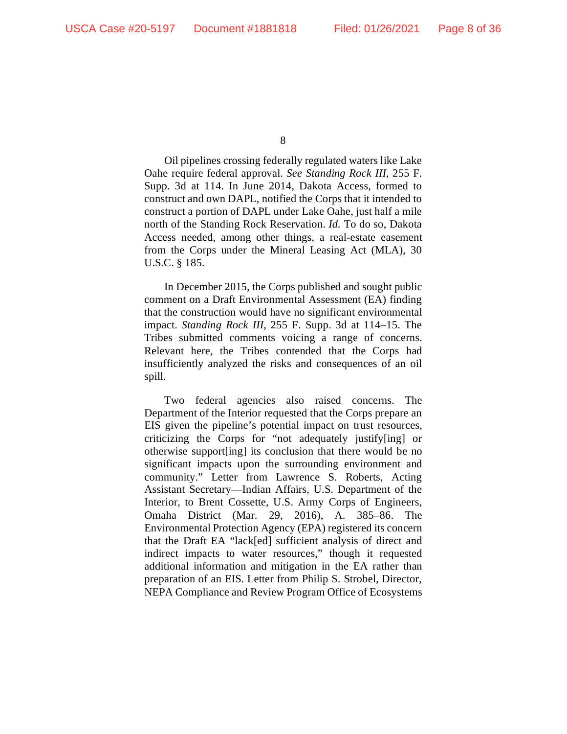Oil pipelines crossing federally regulated waters like Lake Oahe require federal approval. *See Standing Rock III*, 255 F. Supp. 3d at 114. In June 2014, Dakota Access, formed to construct and own DAPL, notified the Corps that it intended to construct a portion of DAPL under Lake Oahe, just half a mile north of the Standing Rock Reservation. *Id.* To do so, Dakota Access needed, among other things, a real-estate easement from the Corps under the Mineral Leasing Act (MLA), 30 U.S.C. § 185.

In December 2015, the Corps published and sought public comment on a Draft Environmental Assessment (EA) finding that the construction would have no significant environmental impact. *Standing Rock III*, 255 F. Supp. 3d at 114–15. The Tribes submitted comments voicing a range of concerns. Relevant here, the Tribes contended that the Corps had insufficiently analyzed the risks and consequences of an oil spill.

Two federal agencies also raised concerns. The Department of the Interior requested that the Corps prepare an EIS given the pipeline's potential impact on trust resources, criticizing the Corps for "not adequately justify[ing] or otherwise support[ing] its conclusion that there would be no significant impacts upon the surrounding environment and community." Letter from Lawrence S. Roberts, Acting Assistant Secretary—Indian Affairs, U.S. Department of the Interior, to Brent Cossette, U.S. Army Corps of Engineers, Omaha District (Mar. 29, 2016), A. 385–86. The Environmental Protection Agency (EPA) registered its concern that the Draft EA "lack[ed] sufficient analysis of direct and indirect impacts to water resources," though it requested additional information and mitigation in the EA rather than preparation of an EIS. Letter from Philip S. Strobel, Director, NEPA Compliance and Review Program Office of Ecosystems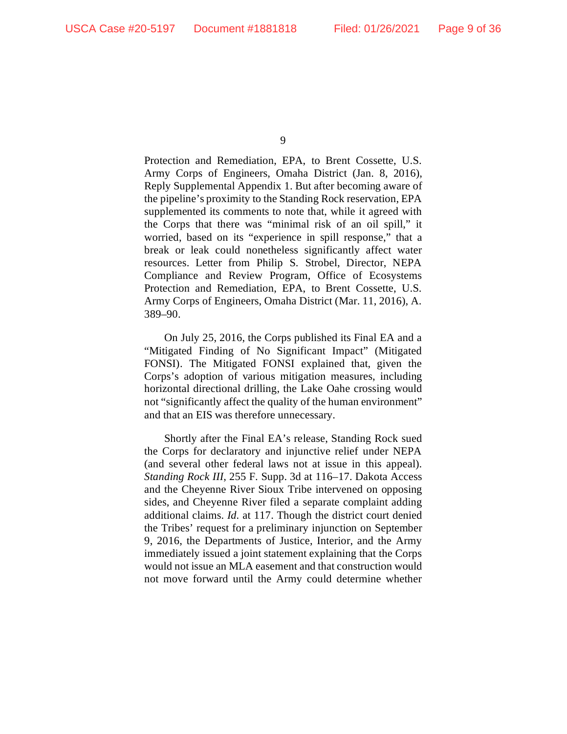Protection and Remediation, EPA, to Brent Cossette, U.S. Army Corps of Engineers, Omaha District (Jan. 8, 2016), Reply Supplemental Appendix 1. But after becoming aware of the pipeline's proximity to the Standing Rock reservation, EPA supplemented its comments to note that, while it agreed with the Corps that there was "minimal risk of an oil spill," it worried, based on its "experience in spill response," that a break or leak could nonetheless significantly affect water resources. Letter from Philip S. Strobel, Director, NEPA Compliance and Review Program, Office of Ecosystems Protection and Remediation, EPA, to Brent Cossette, U.S. Army Corps of Engineers, Omaha District (Mar. 11, 2016), A. 389–90.

On July 25, 2016, the Corps published its Final EA and a "Mitigated Finding of No Significant Impact" (Mitigated FONSI). The Mitigated FONSI explained that, given the Corps's adoption of various mitigation measures, including horizontal directional drilling, the Lake Oahe crossing would not "significantly affect the quality of the human environment" and that an EIS was therefore unnecessary.

Shortly after the Final EA's release, Standing Rock sued the Corps for declaratory and injunctive relief under NEPA (and several other federal laws not at issue in this appeal). *Standing Rock III*, 255 F. Supp. 3d at 116–17. Dakota Access and the Cheyenne River Sioux Tribe intervened on opposing sides, and Cheyenne River filed a separate complaint adding additional claims. *Id.* at 117. Though the district court denied the Tribes' request for a preliminary injunction on September 9, 2016, the Departments of Justice, Interior, and the Army immediately issued a joint statement explaining that the Corps would not issue an MLA easement and that construction would not move forward until the Army could determine whether

<sup>9</sup>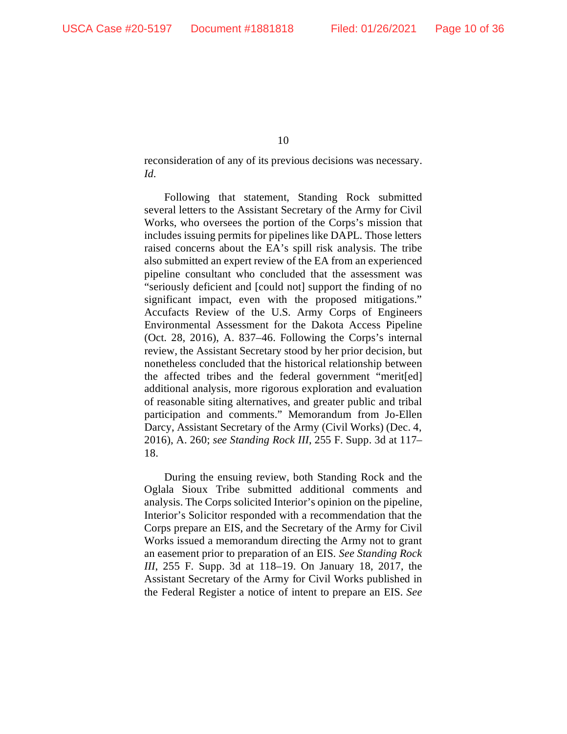reconsideration of any of its previous decisions was necessary. *Id.*

Following that statement, Standing Rock submitted several letters to the Assistant Secretary of the Army for Civil Works, who oversees the portion of the Corps's mission that includes issuing permits for pipelines like DAPL. Those letters raised concerns about the EA's spill risk analysis. The tribe also submitted an expert review of the EA from an experienced pipeline consultant who concluded that the assessment was "seriously deficient and [could not] support the finding of no significant impact, even with the proposed mitigations." Accufacts Review of the U.S. Army Corps of Engineers Environmental Assessment for the Dakota Access Pipeline (Oct. 28, 2016), A. 837–46. Following the Corps's internal review, the Assistant Secretary stood by her prior decision, but nonetheless concluded that the historical relationship between the affected tribes and the federal government "merit[ed] additional analysis, more rigorous exploration and evaluation of reasonable siting alternatives, and greater public and tribal participation and comments." Memorandum from Jo-Ellen Darcy, Assistant Secretary of the Army (Civil Works) (Dec. 4, 2016), A. 260; *see Standing Rock III*, 255 F. Supp. 3d at 117– 18.

During the ensuing review, both Standing Rock and the Oglala Sioux Tribe submitted additional comments and analysis. The Corps solicited Interior's opinion on the pipeline, Interior's Solicitor responded with a recommendation that the Corps prepare an EIS, and the Secretary of the Army for Civil Works issued a memorandum directing the Army not to grant an easement prior to preparation of an EIS. *See Standing Rock III*, 255 F. Supp. 3d at 118–19. On January 18, 2017, the Assistant Secretary of the Army for Civil Works published in the Federal Register a notice of intent to prepare an EIS. *See*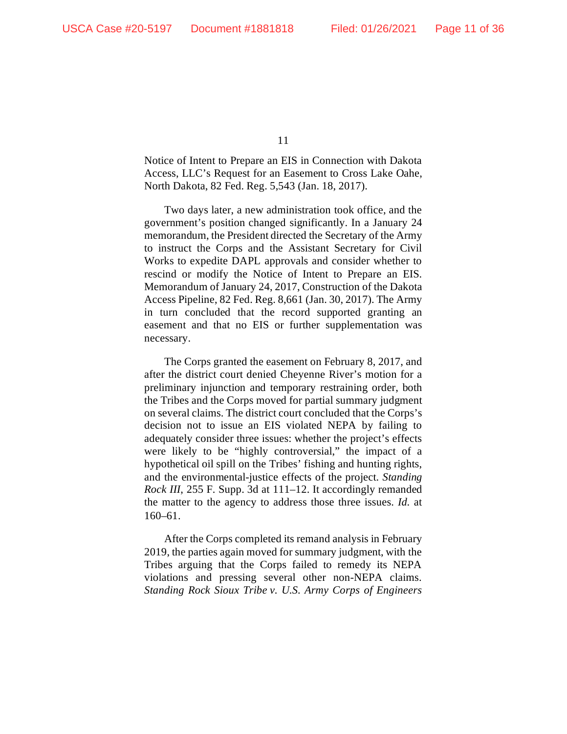Notice of Intent to Prepare an EIS in Connection with Dakota Access, LLC's Request for an Easement to Cross Lake Oahe, North Dakota, 82 Fed. Reg. 5,543 (Jan. 18, 2017).

Two days later, a new administration took office, and the government's position changed significantly. In a January 24 memorandum, the President directed the Secretary of the Army to instruct the Corps and the Assistant Secretary for Civil Works to expedite DAPL approvals and consider whether to rescind or modify the Notice of Intent to Prepare an EIS. Memorandum of January 24, 2017, Construction of the Dakota Access Pipeline, 82 Fed. Reg. 8,661 (Jan. 30, 2017). The Army in turn concluded that the record supported granting an easement and that no EIS or further supplementation was necessary.

The Corps granted the easement on February 8, 2017, and after the district court denied Cheyenne River's motion for a preliminary injunction and temporary restraining order, both the Tribes and the Corps moved for partial summary judgment on several claims. The district court concluded that the Corps's decision not to issue an EIS violated NEPA by failing to adequately consider three issues: whether the project's effects were likely to be "highly controversial," the impact of a hypothetical oil spill on the Tribes' fishing and hunting rights, and the environmental-justice effects of the project. *Standing Rock III*, 255 F. Supp. 3d at 111–12. It accordingly remanded the matter to the agency to address those three issues. *Id.* at 160–61.

After the Corps completed its remand analysis in February 2019, the parties again moved for summary judgment, with the Tribes arguing that the Corps failed to remedy its NEPA violations and pressing several other non-NEPA claims. *Standing Rock Sioux Tribe v. U.S. Army Corps of Engineers*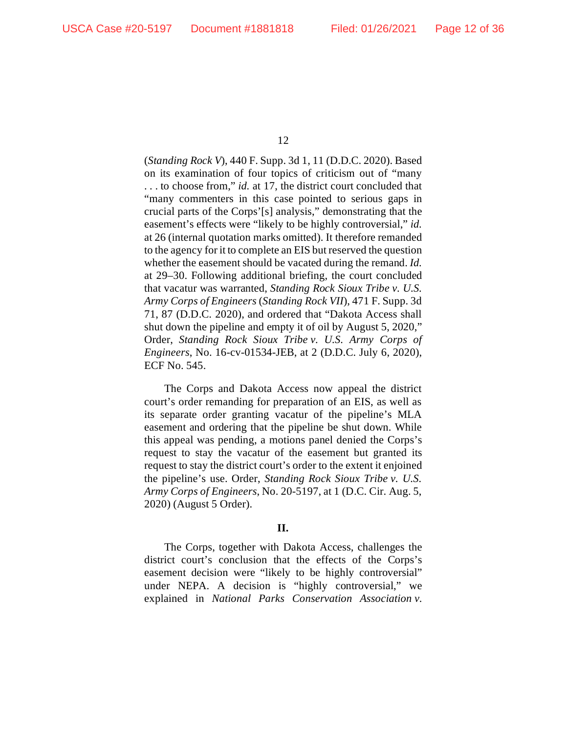(*Standing Rock V*), 440 F. Supp. 3d 1, 11 (D.D.C. 2020). Based on its examination of four topics of criticism out of "many . . . to choose from," *id.* at 17, the district court concluded that "many commenters in this case pointed to serious gaps in crucial parts of the Corps'[s] analysis," demonstrating that the easement's effects were "likely to be highly controversial," *id.* at 26 (internal quotation marks omitted). It therefore remanded to the agency for it to complete an EIS but reserved the question whether the easement should be vacated during the remand. *Id.* at 29–30. Following additional briefing, the court concluded that vacatur was warranted, *Standing Rock Sioux Tribe v. U.S. Army Corps of Engineers* (*Standing Rock VII*), 471 F. Supp. 3d 71, 87 (D.D.C. 2020), and ordered that "Dakota Access shall shut down the pipeline and empty it of oil by August 5, 2020," Order, *Standing Rock Sioux Tribe v. U.S. Army Corps of Engineers*, No. 16-cv-01534-JEB, at 2 (D.D.C. July 6, 2020), ECF No. 545.

The Corps and Dakota Access now appeal the district court's order remanding for preparation of an EIS, as well as its separate order granting vacatur of the pipeline's MLA easement and ordering that the pipeline be shut down. While this appeal was pending, a motions panel denied the Corps's request to stay the vacatur of the easement but granted its request to stay the district court's order to the extent it enjoined the pipeline's use. Order, *Standing Rock Sioux Tribe v. U.S. Army Corps of Engineers*, No. 20-5197, at 1 (D.C. Cir. Aug. 5, 2020) (August 5 Order).

# **II.**

The Corps, together with Dakota Access, challenges the district court's conclusion that the effects of the Corps's easement decision were "likely to be highly controversial" under NEPA. A decision is "highly controversial," we explained in *National Parks Conservation Association v.*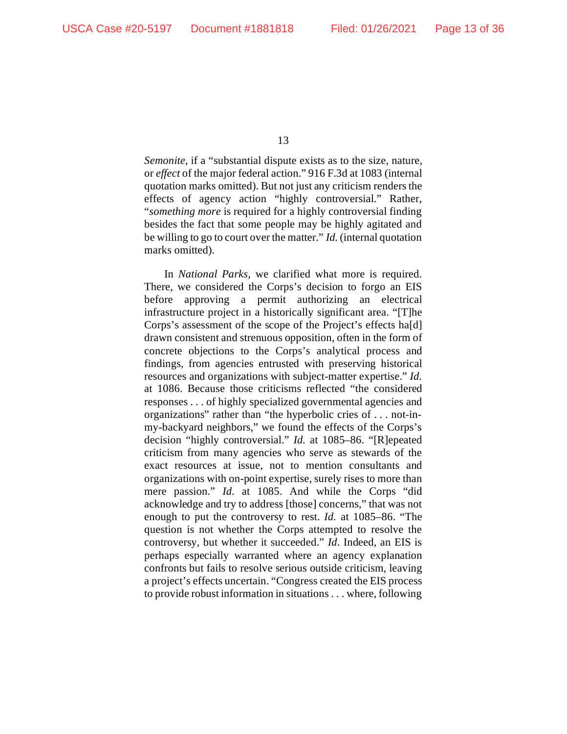*Semonite*, if a "substantial dispute exists as to the size, nature, or *effect* of the major federal action." 916 F.3d at 1083 (internal quotation marks omitted). But not just any criticism renders the effects of agency action "highly controversial." Rather, "*something more* is required for a highly controversial finding besides the fact that some people may be highly agitated and be willing to go to court over the matter." *Id.* (internal quotation marks omitted).

In *National Parks*, we clarified what more is required. There, we considered the Corps's decision to forgo an EIS before approving a permit authorizing an electrical infrastructure project in a historically significant area. "[T]he Corps's assessment of the scope of the Project's effects ha[d] drawn consistent and strenuous opposition, often in the form of concrete objections to the Corps's analytical process and findings, from agencies entrusted with preserving historical resources and organizations with subject-matter expertise." *Id.* at 1086. Because those criticisms reflected "the considered responses . . . of highly specialized governmental agencies and organizations" rather than "the hyperbolic cries of . . . not-inmy-backyard neighbors," we found the effects of the Corps's decision "highly controversial." *Id.* at 1085–86. "[R]epeated criticism from many agencies who serve as stewards of the exact resources at issue, not to mention consultants and organizations with on-point expertise, surely rises to more than mere passion." *Id.* at 1085. And while the Corps "did acknowledge and try to address [those] concerns," that was not enough to put the controversy to rest. *Id.* at 1085–86. "The question is not whether the Corps attempted to resolve the controversy, but whether it succeeded." *Id*. Indeed, an EIS is perhaps especially warranted where an agency explanation confronts but fails to resolve serious outside criticism, leaving a project's effects uncertain. "Congress created the EIS process to provide robust information in situations . . . where, following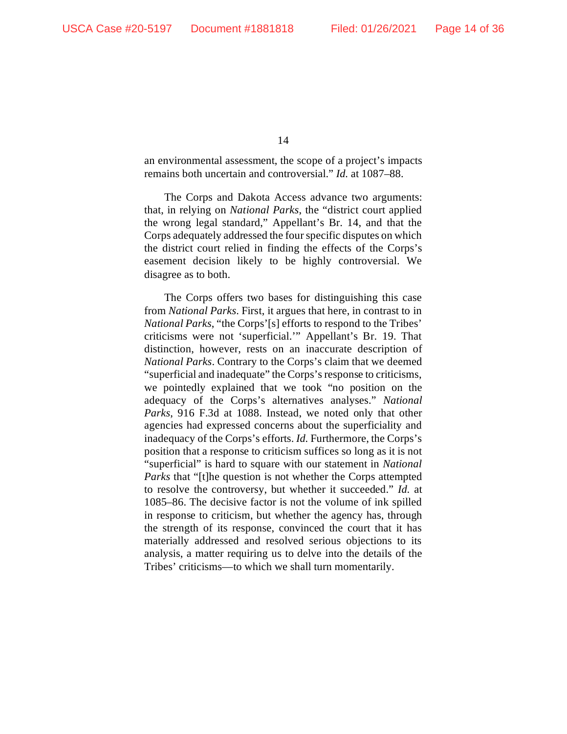an environmental assessment, the scope of a project's impacts remains both uncertain and controversial." *Id.* at 1087–88.

The Corps and Dakota Access advance two arguments: that, in relying on *National Parks*, the "district court applied the wrong legal standard," Appellant's Br. 14, and that the Corps adequately addressed the four specific disputes on which the district court relied in finding the effects of the Corps's easement decision likely to be highly controversial. We disagree as to both.

The Corps offers two bases for distinguishing this case from *National Parks*. First, it argues that here, in contrast to in *National Parks*, "the Corps'[s] efforts to respond to the Tribes' criticisms were not 'superficial.'" Appellant's Br. 19. That distinction, however, rests on an inaccurate description of *National Parks*. Contrary to the Corps's claim that we deemed "superficial and inadequate" the Corps's response to criticisms, we pointedly explained that we took "no position on the adequacy of the Corps's alternatives analyses." *National Parks*, 916 F.3d at 1088. Instead, we noted only that other agencies had expressed concerns about the superficiality and inadequacy of the Corps's efforts. *Id.* Furthermore, the Corps's position that a response to criticism suffices so long as it is not "superficial" is hard to square with our statement in *National Parks* that "[t]he question is not whether the Corps attempted to resolve the controversy, but whether it succeeded." *Id.* at 1085–86. The decisive factor is not the volume of ink spilled in response to criticism, but whether the agency has, through the strength of its response, convinced the court that it has materially addressed and resolved serious objections to its analysis, a matter requiring us to delve into the details of the Tribes' criticisms—to which we shall turn momentarily.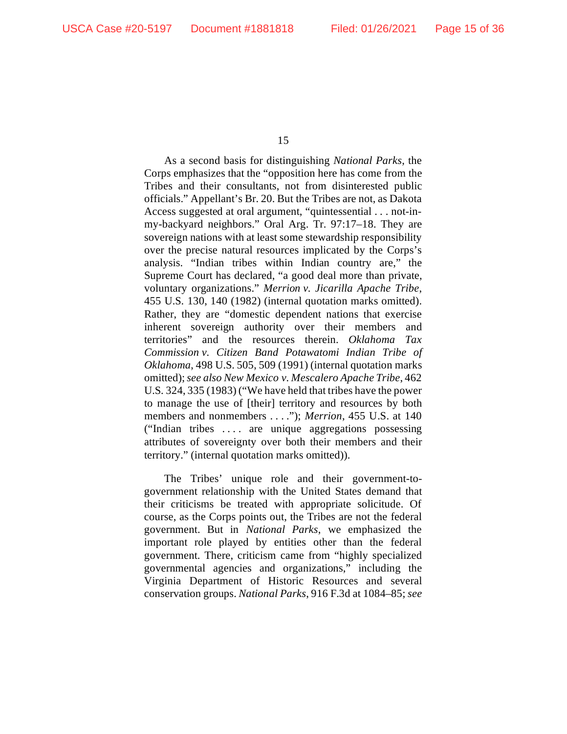As a second basis for distinguishing *National Parks*, the Corps emphasizes that the "opposition here has come from the Tribes and their consultants, not from disinterested public officials." Appellant's Br. 20. But the Tribes are not, as Dakota Access suggested at oral argument, "quintessential . . . not-inmy-backyard neighbors." Oral Arg. Tr. 97:17–18. They are sovereign nations with at least some stewardship responsibility over the precise natural resources implicated by the Corps's analysis. "Indian tribes within Indian country are," the Supreme Court has declared, "a good deal more than private, voluntary organizations." *Merrion v. Jicarilla Apache Tribe*, 455 U.S. 130, 140 (1982) (internal quotation marks omitted). Rather, they are "domestic dependent nations that exercise inherent sovereign authority over their members and territories" and the resources therein. *Oklahoma Tax Commission v. Citizen Band Potawatomi Indian Tribe of Oklahoma*, 498 U.S. 505, 509 (1991) (internal quotation marks omitted);*see also New Mexico v. Mescalero Apache Tribe*, 462 U.S. 324, 335 (1983) ("We have held that tribes have the power to manage the use of [their] territory and resources by both members and nonmembers . . . ."); *Merrion*, 455 U.S. at 140 ("Indian tribes . . . . are unique aggregations possessing attributes of sovereignty over both their members and their territory." (internal quotation marks omitted)).

The Tribes' unique role and their government-togovernment relationship with the United States demand that their criticisms be treated with appropriate solicitude. Of course, as the Corps points out, the Tribes are not the federal government. But in *National Parks*, we emphasized the important role played by entities other than the federal government. There, criticism came from "highly specialized governmental agencies and organizations," including the Virginia Department of Historic Resources and several conservation groups. *National Parks*, 916 F.3d at 1084–85; *see*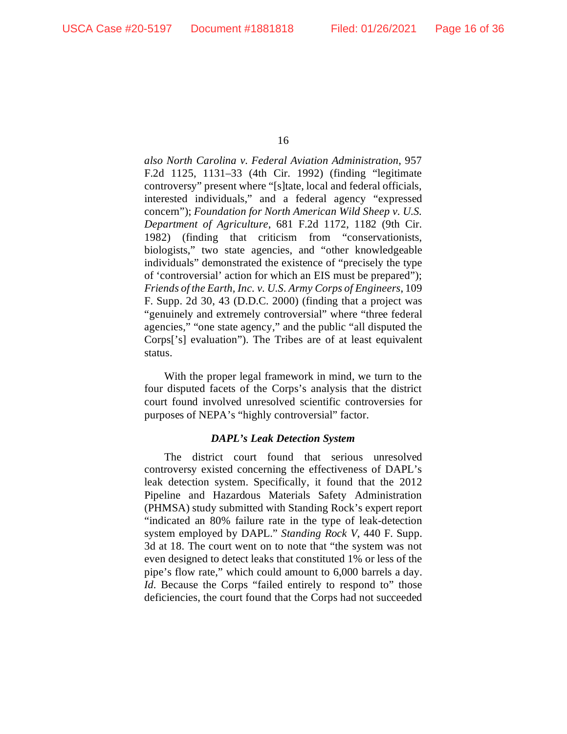*also North Carolina v. Federal Aviation Administration*, 957 F.2d 1125, 1131–33 (4th Cir. 1992) (finding "legitimate controversy" present where "[s]tate, local and federal officials, interested individuals," and a federal agency "expressed concern"); *Foundation for North American Wild Sheep v. U.S. Department of Agriculture*, 681 F.2d 1172, 1182 (9th Cir. 1982) (finding that criticism from "conservationists, biologists," two state agencies, and "other knowledgeable individuals" demonstrated the existence of "precisely the type of 'controversial' action for which an EIS must be prepared"); *Friends of the Earth, Inc. v. U.S. Army Corps of Engineers*, 109 F. Supp. 2d 30, 43 (D.D.C. 2000) (finding that a project was "genuinely and extremely controversial" where "three federal agencies," "one state agency," and the public "all disputed the Corps['s] evaluation"). The Tribes are of at least equivalent status.

With the proper legal framework in mind, we turn to the four disputed facets of the Corps's analysis that the district court found involved unresolved scientific controversies for purposes of NEPA's "highly controversial" factor.

# *DAPL's Leak Detection System*

The district court found that serious unresolved controversy existed concerning the effectiveness of DAPL's leak detection system. Specifically, it found that the 2012 Pipeline and Hazardous Materials Safety Administration (PHMSA) study submitted with Standing Rock's expert report "indicated an 80% failure rate in the type of leak-detection system employed by DAPL." *Standing Rock V*, 440 F. Supp. 3d at 18. The court went on to note that "the system was not even designed to detect leaks that constituted 1% or less of the pipe's flow rate," which could amount to 6,000 barrels a day. *Id.* Because the Corps "failed entirely to respond to" those deficiencies, the court found that the Corps had not succeeded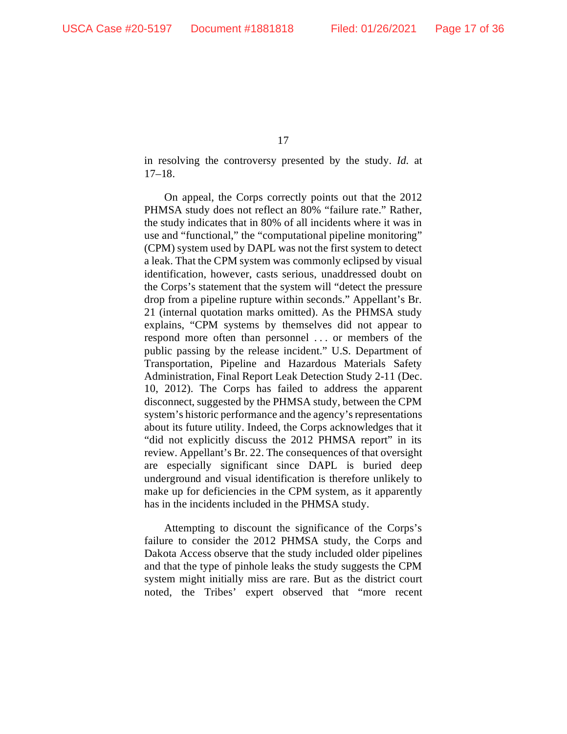in resolving the controversy presented by the study. *Id.* at 17–18.

On appeal, the Corps correctly points out that the 2012 PHMSA study does not reflect an 80% "failure rate." Rather, the study indicates that in 80% of all incidents where it was in use and "functional," the "computational pipeline monitoring" (CPM) system used by DAPL was not the first system to detect a leak. That the CPM system was commonly eclipsed by visual identification, however, casts serious, unaddressed doubt on the Corps's statement that the system will "detect the pressure drop from a pipeline rupture within seconds." Appellant's Br. 21 (internal quotation marks omitted). As the PHMSA study explains, "CPM systems by themselves did not appear to respond more often than personnel . . . or members of the public passing by the release incident." U.S. Department of Transportation, Pipeline and Hazardous Materials Safety Administration, Final Report Leak Detection Study 2-11 (Dec. 10, 2012). The Corps has failed to address the apparent disconnect, suggested by the PHMSA study, between the CPM system's historic performance and the agency's representations about its future utility. Indeed, the Corps acknowledges that it "did not explicitly discuss the 2012 PHMSA report" in its review. Appellant's Br. 22. The consequences of that oversight are especially significant since DAPL is buried deep underground and visual identification is therefore unlikely to make up for deficiencies in the CPM system, as it apparently has in the incidents included in the PHMSA study.

Attempting to discount the significance of the Corps's failure to consider the 2012 PHMSA study, the Corps and Dakota Access observe that the study included older pipelines and that the type of pinhole leaks the study suggests the CPM system might initially miss are rare. But as the district court noted, the Tribes' expert observed that "more recent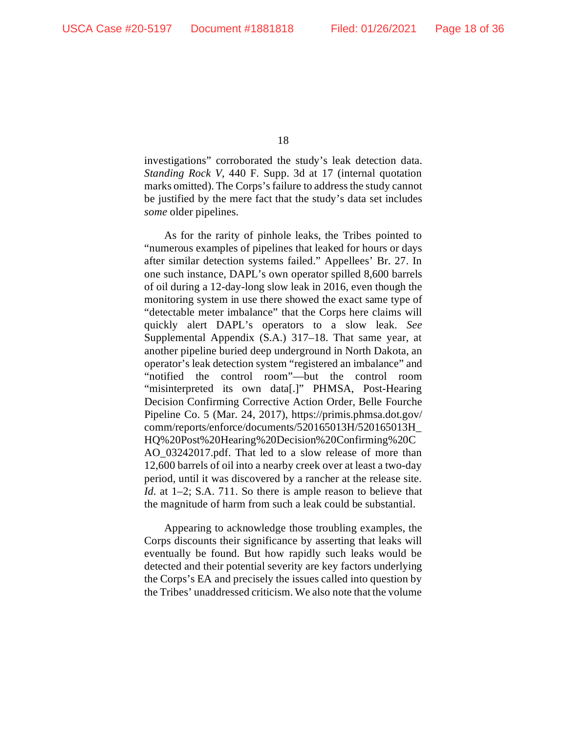investigations" corroborated the study's leak detection data. *Standing Rock V*, 440 F. Supp. 3d at 17 (internal quotation marks omitted). The Corps'sfailure to address the study cannot be justified by the mere fact that the study's data set includes *some* older pipelines.

As for the rarity of pinhole leaks, the Tribes pointed to "numerous examples of pipelines that leaked for hours or days after similar detection systems failed." Appellees' Br. 27. In one such instance, DAPL's own operator spilled 8,600 barrels of oil during a 12-day-long slow leak in 2016, even though the monitoring system in use there showed the exact same type of "detectable meter imbalance" that the Corps here claims will quickly alert DAPL's operators to a slow leak. *See* Supplemental Appendix (S.A.) 317–18. That same year, at another pipeline buried deep underground in North Dakota, an operator's leak detection system "registered an imbalance" and "notified the control room"—but the control room "misinterpreted its own data[.]" PHMSA, Post-Hearing Decision Confirming Corrective Action Order, Belle Fourche Pipeline Co. 5 (Mar. 24, 2017), https://primis.phmsa.dot.gov/ comm/reports/enforce/documents/520165013H/520165013H\_ HQ%20Post%20Hearing%20Decision%20Confirming%20C AO\_03242017.pdf. That led to a slow release of more than 12,600 barrels of oil into a nearby creek over at least a two-day period, until it was discovered by a rancher at the release site. *Id.* at 1–2; S.A. 711. So there is ample reason to believe that the magnitude of harm from such a leak could be substantial.

Appearing to acknowledge those troubling examples, the Corps discounts their significance by asserting that leaks will eventually be found. But how rapidly such leaks would be detected and their potential severity are key factors underlying the Corps's EA and precisely the issues called into question by the Tribes' unaddressed criticism. We also note that the volume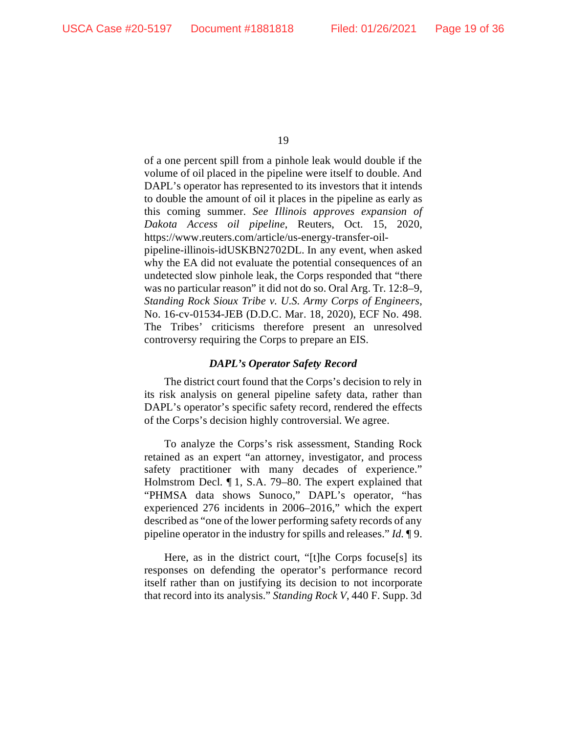of a one percent spill from a pinhole leak would double if the volume of oil placed in the pipeline were itself to double. And DAPL's operator has represented to its investors that it intends to double the amount of oil it places in the pipeline as early as this coming summer. *See Illinois approves expansion of Dakota Access oil pipeline*, Reuters, Oct. 15, 2020, https://www.reuters.com/article/us-energy-transfer-oilpipeline-illinois-idUSKBN2702DL. In any event, when asked why the EA did not evaluate the potential consequences of an undetected slow pinhole leak, the Corps responded that "there was no particular reason" it did not do so. Oral Arg. Tr. 12:8–9, *Standing Rock Sioux Tribe v. U.S. Army Corps of Engineers*, No. 16-cv-01534-JEB (D.D.C. Mar. 18, 2020), ECF No. 498. The Tribes' criticisms therefore present an unresolved controversy requiring the Corps to prepare an EIS.

## *DAPL's Operator Safety Record*

The district court found that the Corps's decision to rely in its risk analysis on general pipeline safety data, rather than DAPL's operator's specific safety record, rendered the effects of the Corps's decision highly controversial. We agree.

To analyze the Corps's risk assessment, Standing Rock retained as an expert "an attorney, investigator, and process safety practitioner with many decades of experience." Holmstrom Decl. ¶ 1, S.A. 79–80. The expert explained that "PHMSA data shows Sunoco," DAPL's operator, "has experienced 276 incidents in 2006–2016," which the expert described as "one of the lower performing safety records of any pipeline operator in the industry for spills and releases." *Id.* ¶ 9.

Here, as in the district court, "[t]he Corps focuse[s] its responses on defending the operator's performance record itself rather than on justifying its decision to not incorporate that record into its analysis." *Standing Rock V*, 440 F. Supp. 3d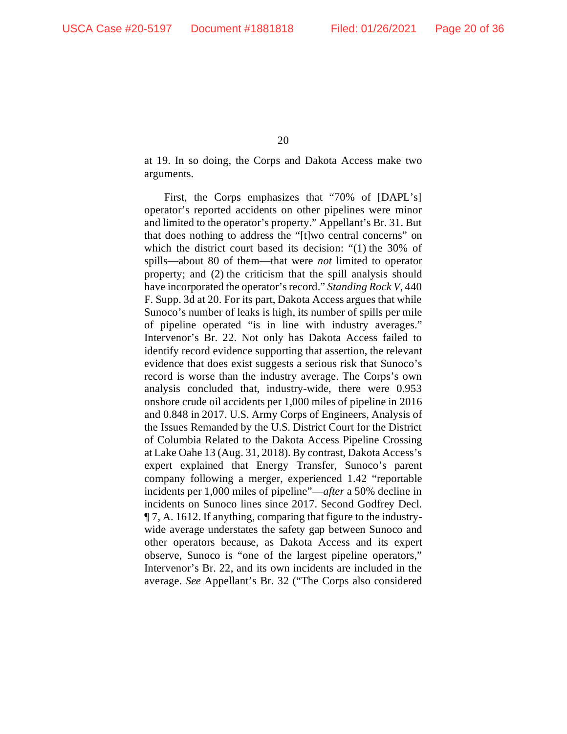at 19. In so doing, the Corps and Dakota Access make two arguments.

First, the Corps emphasizes that "70% of [DAPL's] operator's reported accidents on other pipelines were minor and limited to the operator's property." Appellant's Br. 31. But that does nothing to address the "[t]wo central concerns" on which the district court based its decision: "(1) the 30% of spills—about 80 of them—that were *not* limited to operator property; and (2) the criticism that the spill analysis should have incorporated the operator's record." *Standing Rock V*, 440 F. Supp. 3d at 20. For its part, Dakota Access argues that while Sunoco's number of leaks is high, its number of spills per mile of pipeline operated "is in line with industry averages." Intervenor's Br. 22. Not only has Dakota Access failed to identify record evidence supporting that assertion, the relevant evidence that does exist suggests a serious risk that Sunoco's record is worse than the industry average. The Corps's own analysis concluded that, industry-wide, there were 0.953 onshore crude oil accidents per 1,000 miles of pipeline in 2016 and 0.848 in 2017. U.S. Army Corps of Engineers, Analysis of the Issues Remanded by the U.S. District Court for the District of Columbia Related to the Dakota Access Pipeline Crossing at Lake Oahe 13 (Aug. 31, 2018). By contrast, Dakota Access's expert explained that Energy Transfer, Sunoco's parent company following a merger, experienced 1.42 "reportable incidents per 1,000 miles of pipeline"—*after* a 50% decline in incidents on Sunoco lines since 2017. Second Godfrey Decl. ¶ 7, A. 1612. If anything, comparing that figure to the industrywide average understates the safety gap between Sunoco and other operators because, as Dakota Access and its expert observe, Sunoco is "one of the largest pipeline operators," Intervenor's Br. 22, and its own incidents are included in the average. *See* Appellant's Br. 32 ("The Corps also considered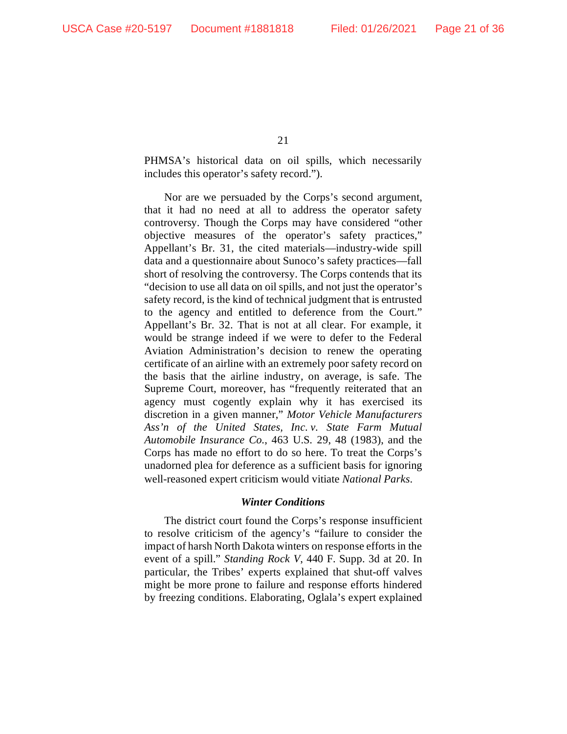PHMSA's historical data on oil spills, which necessarily includes this operator's safety record.").

Nor are we persuaded by the Corps's second argument, that it had no need at all to address the operator safety controversy. Though the Corps may have considered "other objective measures of the operator's safety practices," Appellant's Br. 31, the cited materials—industry-wide spill data and a questionnaire about Sunoco's safety practices—fall short of resolving the controversy. The Corps contends that its "decision to use all data on oil spills, and not just the operator's safety record, is the kind of technical judgment that is entrusted to the agency and entitled to deference from the Court." Appellant's Br. 32. That is not at all clear. For example, it would be strange indeed if we were to defer to the Federal Aviation Administration's decision to renew the operating certificate of an airline with an extremely poor safety record on the basis that the airline industry, on average, is safe. The Supreme Court, moreover, has "frequently reiterated that an agency must cogently explain why it has exercised its discretion in a given manner," *Motor Vehicle Manufacturers Ass'n of the United States, Inc. v. State Farm Mutual Automobile Insurance Co.*, 463 U.S. 29, 48 (1983), and the Corps has made no effort to do so here. To treat the Corps's unadorned plea for deference as a sufficient basis for ignoring well-reasoned expert criticism would vitiate *National Parks*.

### *Winter Conditions*

The district court found the Corps's response insufficient to resolve criticism of the agency's "failure to consider the impact of harsh North Dakota winters on response efforts in the event of a spill." *Standing Rock V*, 440 F. Supp. 3d at 20. In particular, the Tribes' experts explained that shut-off valves might be more prone to failure and response efforts hindered by freezing conditions. Elaborating, Oglala's expert explained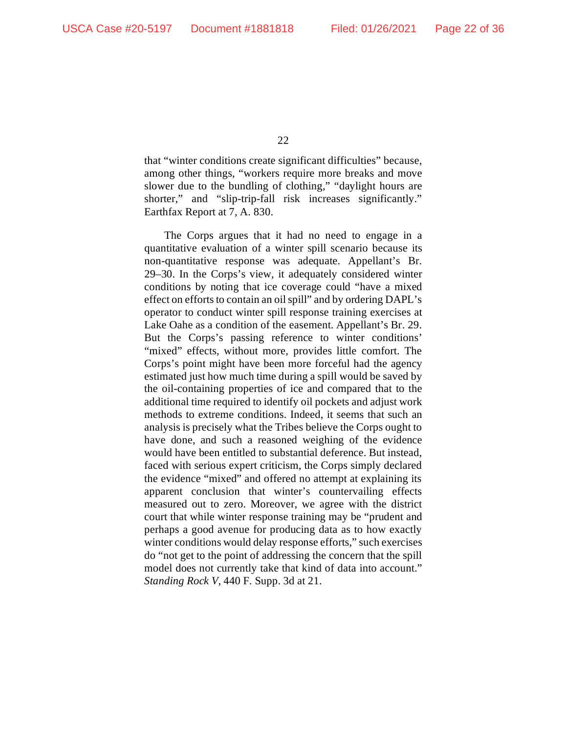that "winter conditions create significant difficulties" because, among other things, "workers require more breaks and move slower due to the bundling of clothing," "daylight hours are shorter," and "slip-trip-fall risk increases significantly." Earthfax Report at 7, A. 830.

The Corps argues that it had no need to engage in a quantitative evaluation of a winter spill scenario because its non-quantitative response was adequate. Appellant's Br. 29–30. In the Corps's view, it adequately considered winter conditions by noting that ice coverage could "have a mixed effect on efforts to contain an oil spill" and by ordering DAPL's operator to conduct winter spill response training exercises at Lake Oahe as a condition of the easement. Appellant's Br. 29. But the Corps's passing reference to winter conditions' "mixed" effects, without more, provides little comfort. The Corps's point might have been more forceful had the agency estimated just how much time during a spill would be saved by the oil-containing properties of ice and compared that to the additional time required to identify oil pockets and adjust work methods to extreme conditions. Indeed, it seems that such an analysis is precisely what the Tribes believe the Corps ought to have done, and such a reasoned weighing of the evidence would have been entitled to substantial deference. But instead, faced with serious expert criticism, the Corps simply declared the evidence "mixed" and offered no attempt at explaining its apparent conclusion that winter's countervailing effects measured out to zero. Moreover, we agree with the district court that while winter response training may be "prudent and perhaps a good avenue for producing data as to how exactly winter conditions would delay response efforts," such exercises do "not get to the point of addressing the concern that the spill model does not currently take that kind of data into account." *Standing Rock V*, 440 F. Supp. 3d at 21.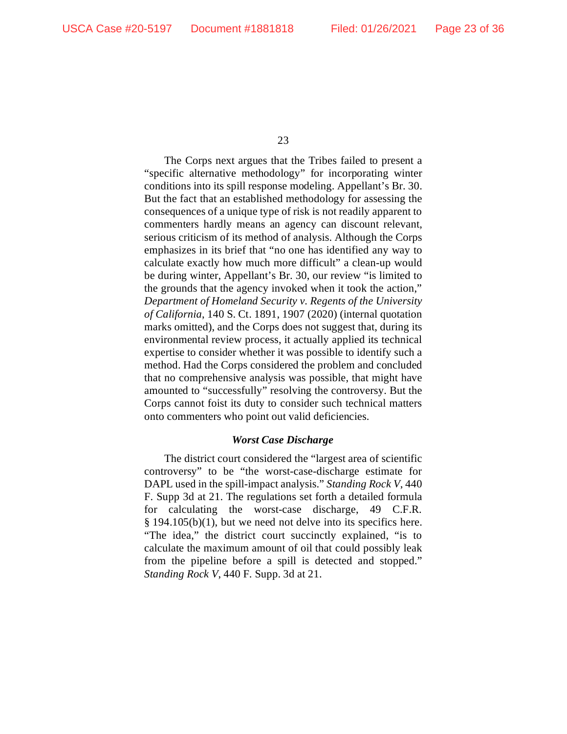The Corps next argues that the Tribes failed to present a "specific alternative methodology" for incorporating winter conditions into its spill response modeling. Appellant's Br. 30. But the fact that an established methodology for assessing the consequences of a unique type of risk is not readily apparent to commenters hardly means an agency can discount relevant, serious criticism of its method of analysis. Although the Corps emphasizes in its brief that "no one has identified any way to calculate exactly how much more difficult" a clean-up would be during winter, Appellant's Br. 30, our review "is limited to the grounds that the agency invoked when it took the action," *Department of Homeland Security v. Regents of the University of California*, 140 S. Ct. 1891, 1907 (2020) (internal quotation marks omitted), and the Corps does not suggest that, during its environmental review process, it actually applied its technical expertise to consider whether it was possible to identify such a method. Had the Corps considered the problem and concluded that no comprehensive analysis was possible, that might have amounted to "successfully" resolving the controversy. But the Corps cannot foist its duty to consider such technical matters onto commenters who point out valid deficiencies.

### *Worst Case Discharge*

The district court considered the "largest area of scientific controversy" to be "the worst-case-discharge estimate for DAPL used in the spill-impact analysis." *Standing Rock V*, 440 F. Supp 3d at 21. The regulations set forth a detailed formula for calculating the worst-case discharge, 49 C.F.R. § 194.105(b)(1), but we need not delve into its specifics here. "The idea," the district court succinctly explained, "is to calculate the maximum amount of oil that could possibly leak from the pipeline before a spill is detected and stopped." *Standing Rock V*, 440 F. Supp. 3d at 21.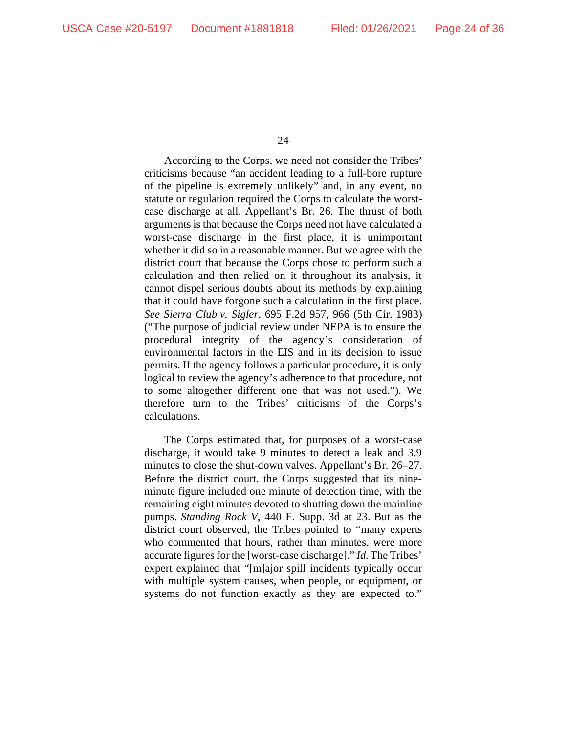According to the Corps, we need not consider the Tribes' criticisms because "an accident leading to a full-bore rupture of the pipeline is extremely unlikely" and, in any event, no statute or regulation required the Corps to calculate the worstcase discharge at all. Appellant's Br. 26. The thrust of both arguments is that because the Corps need not have calculated a worst-case discharge in the first place, it is unimportant whether it did so in a reasonable manner. But we agree with the district court that because the Corps chose to perform such a calculation and then relied on it throughout its analysis, it cannot dispel serious doubts about its methods by explaining that it could have forgone such a calculation in the first place. *See Sierra Club v. Sigler*, 695 F.2d 957, 966 (5th Cir. 1983) ("The purpose of judicial review under NEPA is to ensure the procedural integrity of the agency's consideration of environmental factors in the EIS and in its decision to issue permits. If the agency follows a particular procedure, it is only logical to review the agency's adherence to that procedure, not to some altogether different one that was not used."). We therefore turn to the Tribes' criticisms of the Corps's calculations.

The Corps estimated that, for purposes of a worst-case discharge, it would take 9 minutes to detect a leak and 3.9 minutes to close the shut-down valves. Appellant's Br. 26–27. Before the district court, the Corps suggested that its nineminute figure included one minute of detection time, with the remaining eight minutes devoted to shutting down the mainline pumps. *Standing Rock V*, 440 F. Supp. 3d at 23. But as the district court observed, the Tribes pointed to "many experts who commented that hours, rather than minutes, were more accurate figures for the [worst-case discharge]." *Id.* The Tribes' expert explained that "[m]ajor spill incidents typically occur with multiple system causes, when people, or equipment, or systems do not function exactly as they are expected to."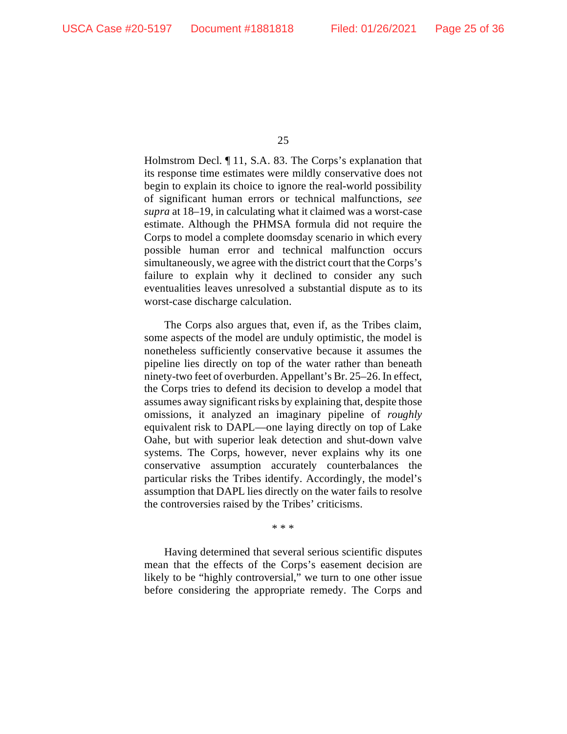Holmstrom Decl. ¶ 11, S.A. 83. The Corps's explanation that its response time estimates were mildly conservative does not begin to explain its choice to ignore the real-world possibility of significant human errors or technical malfunctions, *see supra* at 18–19, in calculating what it claimed was a worst-case estimate. Although the PHMSA formula did not require the Corps to model a complete doomsday scenario in which every possible human error and technical malfunction occurs simultaneously, we agree with the district court that the Corps's failure to explain why it declined to consider any such eventualities leaves unresolved a substantial dispute as to its worst-case discharge calculation.

The Corps also argues that, even if, as the Tribes claim, some aspects of the model are unduly optimistic, the model is nonetheless sufficiently conservative because it assumes the pipeline lies directly on top of the water rather than beneath ninety-two feet of overburden. Appellant's Br. 25–26. In effect, the Corps tries to defend its decision to develop a model that assumes away significant risks by explaining that, despite those omissions, it analyzed an imaginary pipeline of *roughly* equivalent risk to DAPL—one laying directly on top of Lake Oahe, but with superior leak detection and shut-down valve systems. The Corps, however, never explains why its one conservative assumption accurately counterbalances the particular risks the Tribes identify. Accordingly, the model's assumption that DAPL lies directly on the water fails to resolve the controversies raised by the Tribes' criticisms.

\* \* \*

Having determined that several serious scientific disputes mean that the effects of the Corps's easement decision are likely to be "highly controversial," we turn to one other issue before considering the appropriate remedy. The Corps and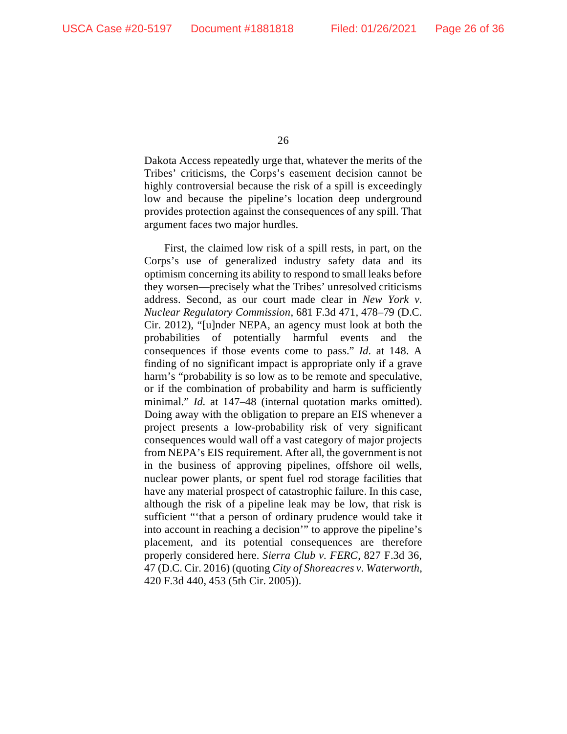Dakota Access repeatedly urge that, whatever the merits of the Tribes' criticisms, the Corps's easement decision cannot be highly controversial because the risk of a spill is exceedingly low and because the pipeline's location deep underground provides protection against the consequences of any spill. That argument faces two major hurdles.

First, the claimed low risk of a spill rests, in part, on the Corps's use of generalized industry safety data and its optimism concerning its ability to respond to small leaks before they worsen—precisely what the Tribes' unresolved criticisms address. Second, as our court made clear in *New York v. Nuclear Regulatory Commission*, 681 F.3d 471, 478–79 (D.C. Cir. 2012), "[u]nder NEPA, an agency must look at both the probabilities of potentially harmful events and the consequences if those events come to pass." *Id.* at 148. A finding of no significant impact is appropriate only if a grave harm's "probability is so low as to be remote and speculative, or if the combination of probability and harm is sufficiently minimal." *Id.* at 147–48 (internal quotation marks omitted). Doing away with the obligation to prepare an EIS whenever a project presents a low-probability risk of very significant consequences would wall off a vast category of major projects from NEPA's EIS requirement. After all, the government is not in the business of approving pipelines, offshore oil wells, nuclear power plants, or spent fuel rod storage facilities that have any material prospect of catastrophic failure. In this case, although the risk of a pipeline leak may be low, that risk is sufficient "'that a person of ordinary prudence would take it into account in reaching a decision'" to approve the pipeline's placement, and its potential consequences are therefore properly considered here. *Sierra Club v. FERC*, 827 F.3d 36, 47 (D.C. Cir. 2016) (quoting *City of Shoreacres v. Waterworth*, 420 F.3d 440, 453 (5th Cir. 2005)).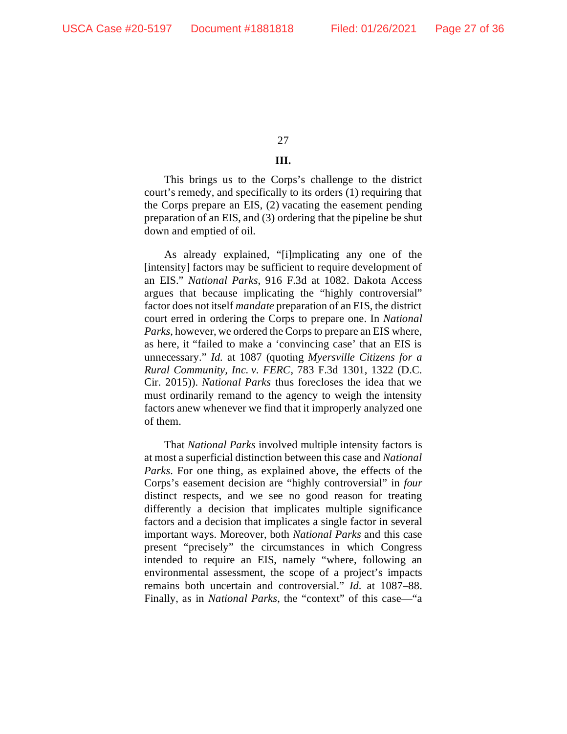# **III.**

This brings us to the Corps's challenge to the district court's remedy, and specifically to its orders (1) requiring that the Corps prepare an EIS, (2) vacating the easement pending preparation of an EIS, and (3) ordering that the pipeline be shut down and emptied of oil.

As already explained, "[i]mplicating any one of the [intensity] factors may be sufficient to require development of an EIS." *National Parks*, 916 F.3d at 1082. Dakota Access argues that because implicating the "highly controversial" factor does not itself *mandate* preparation of an EIS, the district court erred in ordering the Corps to prepare one. In *National Parks*, however, we ordered the Corps to prepare an EIS where, as here, it "failed to make a 'convincing case' that an EIS is unnecessary." *Id.* at 1087 (quoting *Myersville Citizens for a Rural Community, Inc. v. FERC*, 783 F.3d 1301, 1322 (D.C. Cir. 2015)). *National Parks* thus forecloses the idea that we must ordinarily remand to the agency to weigh the intensity factors anew whenever we find that it improperly analyzed one of them.

That *National Parks* involved multiple intensity factors is at most a superficial distinction between this case and *National Parks*. For one thing, as explained above, the effects of the Corps's easement decision are "highly controversial" in *four* distinct respects, and we see no good reason for treating differently a decision that implicates multiple significance factors and a decision that implicates a single factor in several important ways. Moreover, both *National Parks* and this case present "precisely" the circumstances in which Congress intended to require an EIS, namely "where, following an environmental assessment, the scope of a project's impacts remains both uncertain and controversial." *Id.* at 1087–88. Finally, as in *National Parks*, the "context" of this case—"a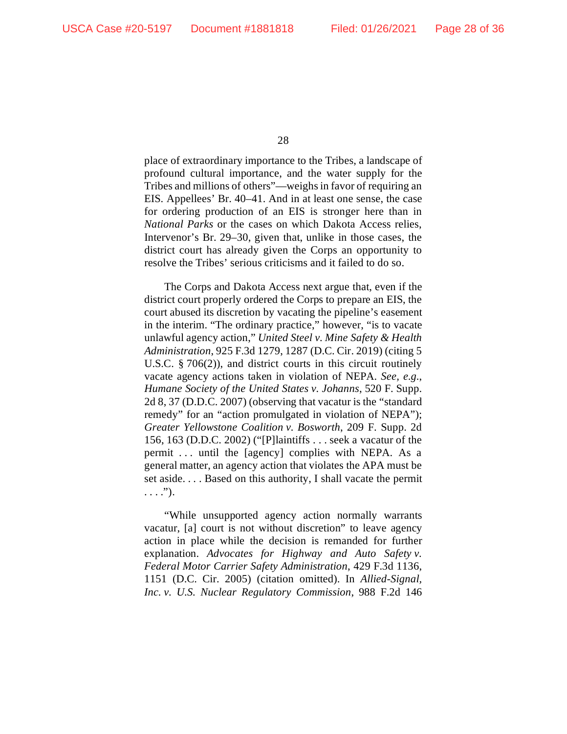place of extraordinary importance to the Tribes, a landscape of profound cultural importance, and the water supply for the Tribes and millions of others"—weighs in favor of requiring an EIS. Appellees' Br. 40–41. And in at least one sense, the case for ordering production of an EIS is stronger here than in *National Parks* or the cases on which Dakota Access relies, Intervenor's Br. 29–30, given that, unlike in those cases, the district court has already given the Corps an opportunity to resolve the Tribes' serious criticisms and it failed to do so.

The Corps and Dakota Access next argue that, even if the district court properly ordered the Corps to prepare an EIS, the court abused its discretion by vacating the pipeline's easement in the interim. "The ordinary practice," however, "is to vacate unlawful agency action," *United Steel v. Mine Safety & Health Administration*, 925 F.3d 1279, 1287 (D.C. Cir. 2019) (citing 5 U.S.C. § 706(2)), and district courts in this circuit routinely vacate agency actions taken in violation of NEPA. *See, e.g.*, *Humane Society of the United States v. Johanns*, 520 F. Supp. 2d 8, 37 (D.D.C. 2007) (observing that vacatur is the "standard remedy" for an "action promulgated in violation of NEPA"); *Greater Yellowstone Coalition v. Bosworth*, 209 F. Supp. 2d 156, 163 (D.D.C. 2002) ("[P]laintiffs . . . seek a vacatur of the permit ... until the [agency] complies with NEPA. As a general matter, an agency action that violates the APA must be set aside. . . . Based on this authority, I shall vacate the permit  $\ldots$ .").

"While unsupported agency action normally warrants vacatur, [a] court is not without discretion" to leave agency action in place while the decision is remanded for further explanation. *Advocates for Highway and Auto Safety v. Federal Motor Carrier Safety Administration*, 429 F.3d 1136, 1151 (D.C. Cir. 2005) (citation omitted). In *Allied-Signal, Inc. v. U.S. Nuclear Regulatory Commission*, 988 F.2d 146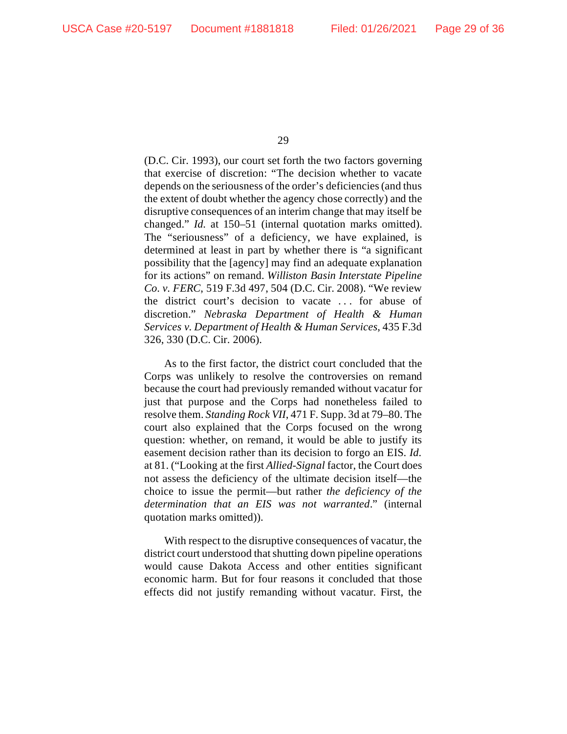(D.C. Cir. 1993), our court set forth the two factors governing that exercise of discretion: "The decision whether to vacate depends on the seriousness of the order's deficiencies (and thus the extent of doubt whether the agency chose correctly) and the disruptive consequences of an interim change that may itself be changed." *Id.* at 150–51 (internal quotation marks omitted). The "seriousness" of a deficiency, we have explained, is determined at least in part by whether there is "a significant possibility that the [agency] may find an adequate explanation for its actions" on remand. *Williston Basin Interstate Pipeline Co. v. FERC*, 519 F.3d 497, 504 (D.C. Cir. 2008). "We review the district court's decision to vacate . . . for abuse of discretion." *Nebraska Department of Health & Human Services v. Department of Health & Human Services*, 435 F.3d 326, 330 (D.C. Cir. 2006).

As to the first factor, the district court concluded that the Corps was unlikely to resolve the controversies on remand because the court had previously remanded without vacatur for just that purpose and the Corps had nonetheless failed to resolve them. *Standing Rock VII*, 471 F. Supp. 3d at 79–80. The court also explained that the Corps focused on the wrong question: whether, on remand, it would be able to justify its easement decision rather than its decision to forgo an EIS. *Id.* at 81. ("Looking at the first *Allied-Signal* factor, the Court does not assess the deficiency of the ultimate decision itself—the choice to issue the permit—but rather *the deficiency of the determination that an EIS was not warranted*." (internal quotation marks omitted)).

With respect to the disruptive consequences of vacatur, the district court understood that shutting down pipeline operations would cause Dakota Access and other entities significant economic harm. But for four reasons it concluded that those effects did not justify remanding without vacatur. First, the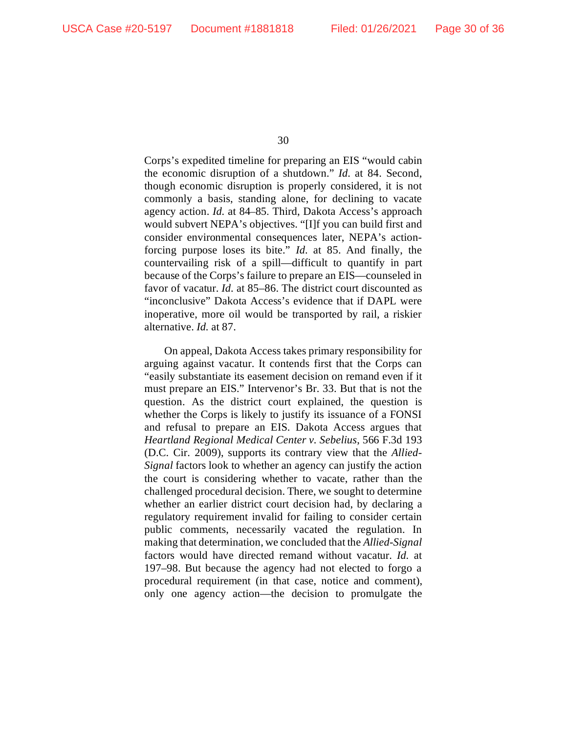Corps's expedited timeline for preparing an EIS "would cabin the economic disruption of a shutdown." *Id.* at 84. Second, though economic disruption is properly considered, it is not commonly a basis, standing alone, for declining to vacate agency action. *Id.* at 84–85. Third, Dakota Access's approach would subvert NEPA's objectives. "[I]f you can build first and consider environmental consequences later, NEPA's actionforcing purpose loses its bite." *Id.* at 85. And finally, the countervailing risk of a spill—difficult to quantify in part because of the Corps's failure to prepare an EIS—counseled in favor of vacatur. *Id.* at 85–86. The district court discounted as "inconclusive" Dakota Access's evidence that if DAPL were inoperative, more oil would be transported by rail, a riskier alternative. *Id.* at 87.

On appeal, Dakota Access takes primary responsibility for arguing against vacatur. It contends first that the Corps can "easily substantiate its easement decision on remand even if it must prepare an EIS." Intervenor's Br. 33. But that is not the question. As the district court explained, the question is whether the Corps is likely to justify its issuance of a FONSI and refusal to prepare an EIS. Dakota Access argues that *Heartland Regional Medical Center v. Sebelius*, 566 F.3d 193 (D.C. Cir. 2009), supports its contrary view that the *Allied-Signal* factors look to whether an agency can justify the action the court is considering whether to vacate, rather than the challenged procedural decision. There, we sought to determine whether an earlier district court decision had, by declaring a regulatory requirement invalid for failing to consider certain public comments, necessarily vacated the regulation. In making that determination, we concluded that the *Allied-Signal*  factors would have directed remand without vacatur. *Id.* at 197–98. But because the agency had not elected to forgo a procedural requirement (in that case, notice and comment), only one agency action—the decision to promulgate the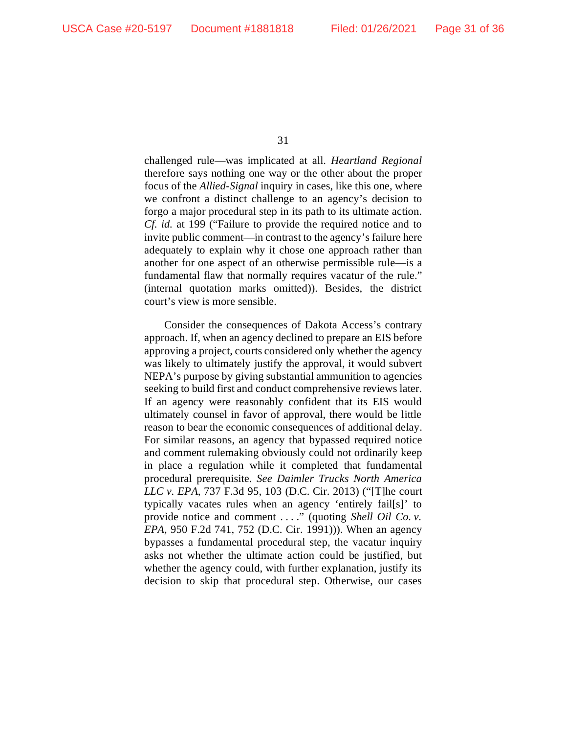challenged rule—was implicated at all. *Heartland Regional* therefore says nothing one way or the other about the proper focus of the *Allied-Signal* inquiry in cases, like this one, where we confront a distinct challenge to an agency's decision to forgo a major procedural step in its path to its ultimate action. *Cf. id.* at 199 ("Failure to provide the required notice and to invite public comment—in contrast to the agency's failure here adequately to explain why it chose one approach rather than another for one aspect of an otherwise permissible rule—is a fundamental flaw that normally requires vacatur of the rule." (internal quotation marks omitted)). Besides, the district court's view is more sensible.

Consider the consequences of Dakota Access's contrary approach. If, when an agency declined to prepare an EIS before approving a project, courts considered only whether the agency was likely to ultimately justify the approval, it would subvert NEPA's purpose by giving substantial ammunition to agencies seeking to build first and conduct comprehensive reviews later. If an agency were reasonably confident that its EIS would ultimately counsel in favor of approval, there would be little reason to bear the economic consequences of additional delay. For similar reasons, an agency that bypassed required notice and comment rulemaking obviously could not ordinarily keep in place a regulation while it completed that fundamental procedural prerequisite. *See Daimler Trucks North America LLC v. EPA*, 737 F.3d 95, 103 (D.C. Cir. 2013) ("[T]he court typically vacates rules when an agency 'entirely fail[s]' to provide notice and comment . . . ." (quoting *Shell Oil Co. v. EPA*, 950 F.2d 741, 752 (D.C. Cir. 1991))). When an agency bypasses a fundamental procedural step, the vacatur inquiry asks not whether the ultimate action could be justified, but whether the agency could, with further explanation, justify its decision to skip that procedural step. Otherwise, our cases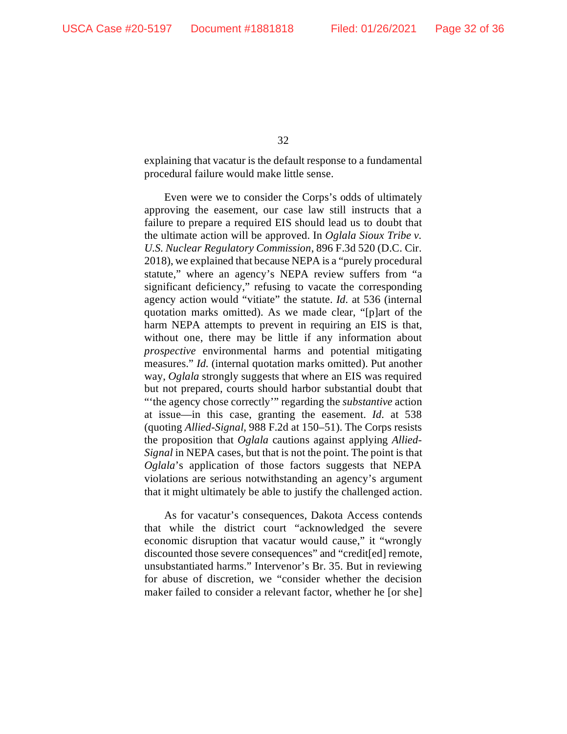explaining that vacatur is the default response to a fundamental procedural failure would make little sense.

Even were we to consider the Corps's odds of ultimately approving the easement, our case law still instructs that a failure to prepare a required EIS should lead us to doubt that the ultimate action will be approved. In *Oglala Sioux Tribe v. U.S. Nuclear Regulatory Commission*, 896 F.3d 520 (D.C. Cir. 2018), we explained that because NEPA is a "purely procedural statute," where an agency's NEPA review suffers from "a significant deficiency," refusing to vacate the corresponding agency action would "vitiate" the statute. *Id.* at 536 (internal quotation marks omitted). As we made clear, "[p]art of the harm NEPA attempts to prevent in requiring an EIS is that, without one, there may be little if any information about *prospective* environmental harms and potential mitigating measures." *Id.* (internal quotation marks omitted). Put another way, *Oglala* strongly suggests that where an EIS was required but not prepared, courts should harbor substantial doubt that "'the agency chose correctly'" regarding the *substantive* action at issue—in this case, granting the easement. *Id.* at 538 (quoting *Allied-Signal*, 988 F.2d at 150–51). The Corps resists the proposition that *Oglala* cautions against applying *Allied-Signal* in NEPA cases, but that is not the point. The point is that *Oglala*'s application of those factors suggests that NEPA violations are serious notwithstanding an agency's argument that it might ultimately be able to justify the challenged action.

As for vacatur's consequences, Dakota Access contends that while the district court "acknowledged the severe economic disruption that vacatur would cause," it "wrongly discounted those severe consequences" and "credit[ed] remote, unsubstantiated harms." Intervenor's Br. 35. But in reviewing for abuse of discretion, we "consider whether the decision maker failed to consider a relevant factor, whether he [or she]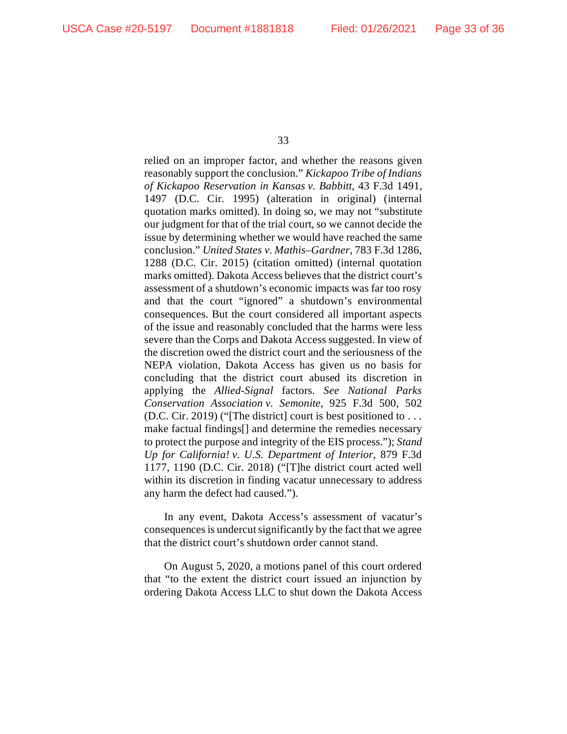relied on an improper factor, and whether the reasons given reasonably support the conclusion." *Kickapoo Tribe of Indians of Kickapoo Reservation in Kansas v. Babbitt*, 43 F.3d 1491, 1497 (D.C. Cir. 1995) (alteration in original) (internal quotation marks omitted). In doing so, we may not "substitute our judgment for that of the trial court, so we cannot decide the issue by determining whether we would have reached the same conclusion." *United States v. Mathis–Gardner*, 783 F.3d 1286, 1288 (D.C. Cir. 2015) (citation omitted) (internal quotation marks omitted). Dakota Access believes that the district court's assessment of a shutdown's economic impacts was far too rosy and that the court "ignored" a shutdown's environmental consequences. But the court considered all important aspects of the issue and reasonably concluded that the harms were less severe than the Corps and Dakota Access suggested. In view of the discretion owed the district court and the seriousness of the NEPA violation, Dakota Access has given us no basis for concluding that the district court abused its discretion in applying the *Allied-Signal* factors. *See National Parks Conservation Association v. Semonite*, 925 F.3d 500, 502 (D.C. Cir. 2019) ("[The district] court is best positioned to . . . make factual findings[] and determine the remedies necessary to protect the purpose and integrity of the EIS process."); *Stand Up for California! v. U.S. Department of Interior*, 879 F.3d 1177, 1190 (D.C. Cir. 2018) ("[T]he district court acted well within its discretion in finding vacatur unnecessary to address any harm the defect had caused.").

In any event, Dakota Access's assessment of vacatur's consequences is undercut significantly by the fact that we agree that the district court's shutdown order cannot stand.

On August 5, 2020, a motions panel of this court ordered that "to the extent the district court issued an injunction by ordering Dakota Access LLC to shut down the Dakota Access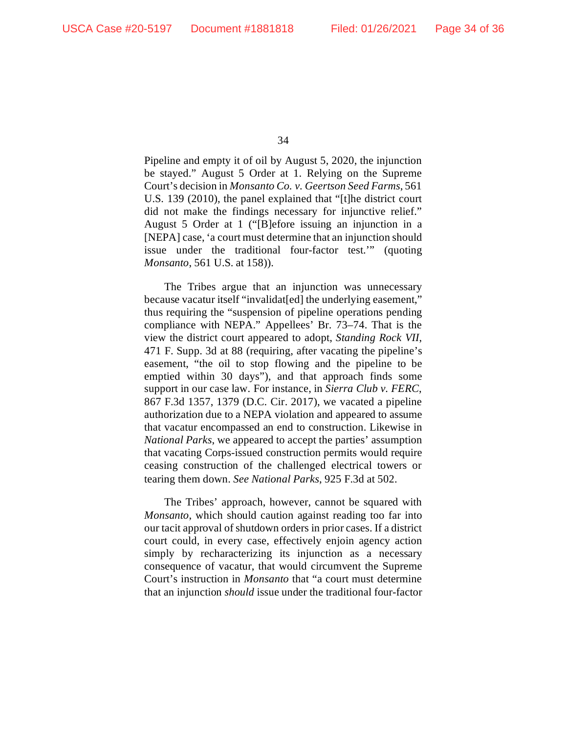Pipeline and empty it of oil by August 5, 2020, the injunction be stayed." August 5 Order at 1. Relying on the Supreme Court's decision in *Monsanto Co. v. Geertson Seed Farms*, 561 U.S. 139 (2010), the panel explained that "[t]he district court did not make the findings necessary for injunctive relief." August 5 Order at 1 ("[B]efore issuing an injunction in a [NEPA] case, 'a court must determine that an injunction should issue under the traditional four-factor test.'" (quoting *Monsanto*, 561 U.S. at 158)).

The Tribes argue that an injunction was unnecessary because vacatur itself "invalidat[ed] the underlying easement," thus requiring the "suspension of pipeline operations pending compliance with NEPA." Appellees' Br. 73–74. That is the view the district court appeared to adopt, *Standing Rock VII*, 471 F. Supp. 3d at 88 (requiring, after vacating the pipeline's easement, "the oil to stop flowing and the pipeline to be emptied within 30 days"), and that approach finds some support in our case law. For instance, in *Sierra Club v. FERC*, 867 F.3d 1357, 1379 (D.C. Cir. 2017), we vacated a pipeline authorization due to a NEPA violation and appeared to assume that vacatur encompassed an end to construction. Likewise in *National Parks*, we appeared to accept the parties' assumption that vacating Corps-issued construction permits would require ceasing construction of the challenged electrical towers or tearing them down. *See National Parks*, 925 F.3d at 502.

The Tribes' approach, however, cannot be squared with *Monsanto*, which should caution against reading too far into our tacit approval of shutdown orders in prior cases. If a district court could, in every case, effectively enjoin agency action simply by recharacterizing its injunction as a necessary consequence of vacatur, that would circumvent the Supreme Court's instruction in *Monsanto* that "a court must determine that an injunction *should* issue under the traditional four-factor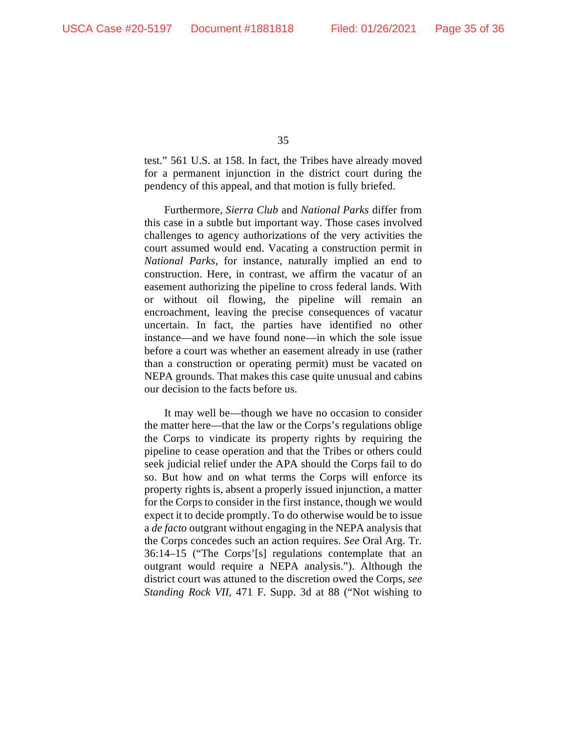test." 561 U.S. at 158. In fact, the Tribes have already moved for a permanent injunction in the district court during the pendency of this appeal, and that motion is fully briefed.

Furthermore, *Sierra Club* and *National Parks* differ from this case in a subtle but important way. Those cases involved challenges to agency authorizations of the very activities the court assumed would end. Vacating a construction permit in *National Parks*, for instance, naturally implied an end to construction. Here, in contrast, we affirm the vacatur of an easement authorizing the pipeline to cross federal lands. With or without oil flowing, the pipeline will remain an encroachment, leaving the precise consequences of vacatur uncertain. In fact, the parties have identified no other instance—and we have found none—in which the sole issue before a court was whether an easement already in use (rather than a construction or operating permit) must be vacated on NEPA grounds. That makes this case quite unusual and cabins our decision to the facts before us.

It may well be—though we have no occasion to consider the matter here—that the law or the Corps's regulations oblige the Corps to vindicate its property rights by requiring the pipeline to cease operation and that the Tribes or others could seek judicial relief under the APA should the Corps fail to do so. But how and on what terms the Corps will enforce its property rights is, absent a properly issued injunction, a matter for the Corps to consider in the first instance, though we would expect it to decide promptly. To do otherwise would be to issue a *de facto* outgrant without engaging in the NEPA analysis that the Corps concedes such an action requires. *See* Oral Arg. Tr. 36:14–15 ("The Corps'[s] regulations contemplate that an outgrant would require a NEPA analysis."). Although the district court was attuned to the discretion owed the Corps, *see Standing Rock VII*, 471 F. Supp. 3d at 88 ("Not wishing to